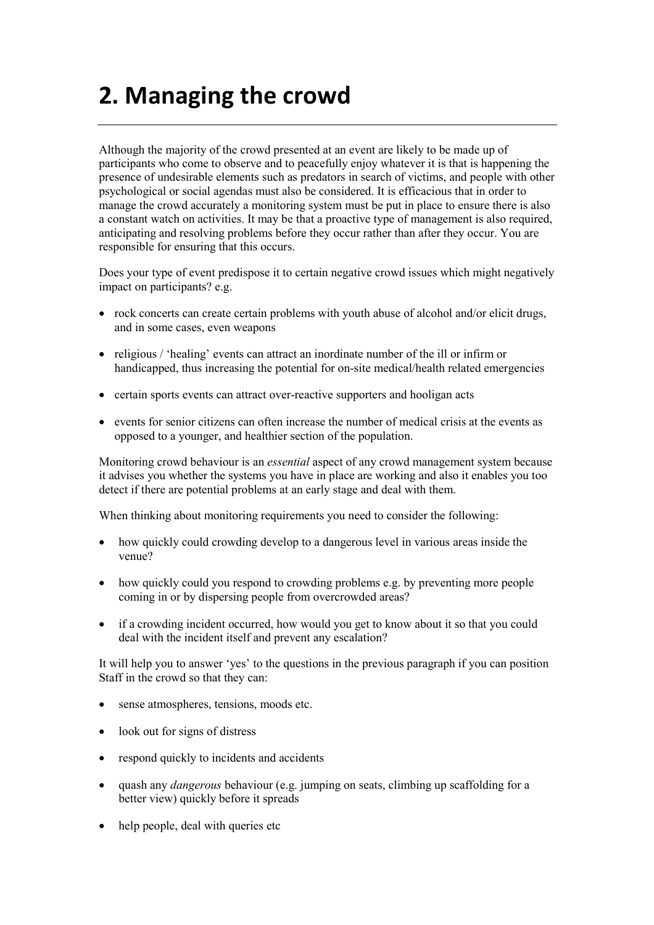## **2. Managing the crowd**

Although the majority of the crowd presented at an event are likely to be made up of participants who come to observe and to peacefully enjoy whatever it is that is happening the presence of undesirable elements such as predators in search of victims, and people with other psychological or social agendas must also be considered. It is efficacious that in order to manage the crowd accurately a monitoring system must be put in place to ensure there is also a constant watch on activities. It may be that a proactive type of management is also required, anticipating and resolving problems before they occur rather than after they occur. You are responsible for ensuring that this occurs.

Does your type of event predispose it to certain negative crowd issues which might negatively impact on participants? e.g.

- rock concerts can create certain problems with youth abuse of alcohol and/or elicit drugs, and in some cases, even weapons
- religious / 'healing' events can attract an inordinate number of the ill or infirm or handicapped, thus increasing the potential for on-site medical/health related emergencies
- certain sports events can attract over-reactive supporters and hooligan acts
- events for senior citizens can often increase the number of medical crisis at the events as opposed to a younger, and healthier section of the population.

Monitoring crowd behaviour is an *essential* aspect of any crowd management system because it advises you whether the systems you have in place are working and also it enables you too detect if there are potential problems at an early stage and deal with them.

When thinking about monitoring requirements you need to consider the following:

- how quickly could crowding develop to a dangerous level in various areas inside the venue?
- how quickly could you respond to crowding problems e.g. by preventing more people coming in or by dispersing people from overcrowded areas?
- if a crowding incident occurred, how would you get to know about it so that you could deal with the incident itself and prevent any escalation?

It will help you to answer 'yes' to the questions in the previous paragraph if you can position Staff in the crowd so that they can:

- sense atmospheres, tensions, moods etc.
- look out for signs of distress
- respond quickly to incidents and accidents
- quash any *dangerous* behaviour (e.g. jumping on seats, climbing up scaffolding for a better view) quickly before it spreads
- help people, deal with queries etc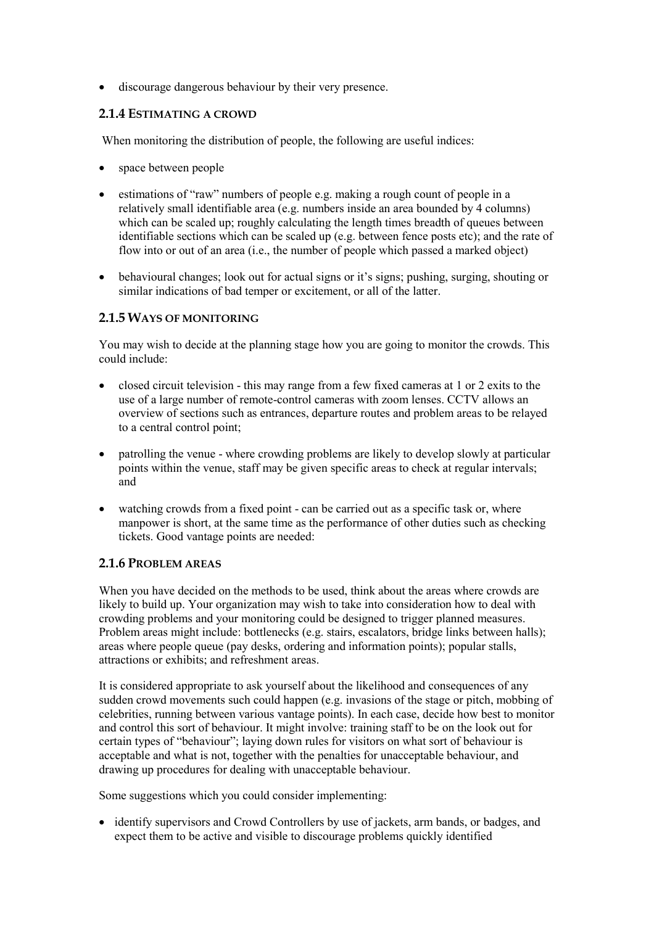• discourage dangerous behaviour by their very presence.

## **2.1.4 ESTIMATING A CROWD**

When monitoring the distribution of people, the following are useful indices:

- space between people
- estimations of "raw" numbers of people e.g. making a rough count of people in a relatively small identifiable area (e.g. numbers inside an area bounded by 4 columns) which can be scaled up; roughly calculating the length times breadth of queues between identifiable sections which can be scaled up (e.g. between fence posts etc); and the rate of flow into or out of an area (i.e., the number of people which passed a marked object)
- behavioural changes; look out for actual signs or it's signs; pushing, surging, shouting or similar indications of bad temper or excitement, or all of the latter.

## **2.1.5 WAYS OF MONITORING**

You may wish to decide at the planning stage how you are going to monitor the crowds. This could include:

- closed circuit television this may range from a few fixed cameras at 1 or 2 exits to the use of a large number of remote-control cameras with zoom lenses. CCTV allows an overview of sections such as entrances, departure routes and problem areas to be relayed to a central control point;
- patrolling the venue where crowding problems are likely to develop slowly at particular points within the venue, staff may be given specific areas to check at regular intervals; and
- watching crowds from a fixed point can be carried out as a specific task or, where manpower is short, at the same time as the performance of other duties such as checking tickets. Good vantage points are needed:

## **2.1.6 PROBLEM AREAS**

When you have decided on the methods to be used, think about the areas where crowds are likely to build up. Your organization may wish to take into consideration how to deal with crowding problems and your monitoring could be designed to trigger planned measures. Problem areas might include: bottlenecks (e.g. stairs, escalators, bridge links between halls); areas where people queue (pay desks, ordering and information points); popular stalls, attractions or exhibits; and refreshment areas.

It is considered appropriate to ask yourself about the likelihood and consequences of any sudden crowd movements such could happen (e.g. invasions of the stage or pitch, mobbing of celebrities, running between various vantage points). In each case, decide how best to monitor and control this sort of behaviour. It might involve: training staff to be on the look out for certain types of "behaviour"; laying down rules for visitors on what sort of behaviour is acceptable and what is not, together with the penalties for unacceptable behaviour, and drawing up procedures for dealing with unacceptable behaviour.

Some suggestions which you could consider implementing:

• identify supervisors and Crowd Controllers by use of jackets, arm bands, or badges, and expect them to be active and visible to discourage problems quickly identified